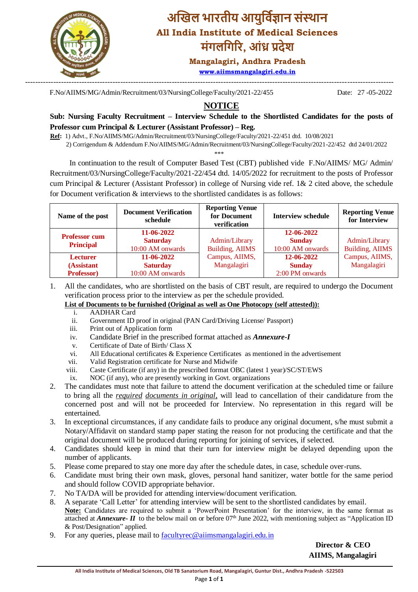

## **अखिल भारतीय आयुर्विज्ञान संस्थान All India Institute of Medical Sciences मंगलर्गरर, आंध्र प्रदेश**

**Mangalagiri, Andhra Pradesh [www.aiimsmangalagiri.edu.in](http://www.aiimsmangalagiri.edu.in/)**

F.No/AIIMS/MG/Admin/Recruitment/03/NursingCollege/Faculty/2021-22/455 Date: 27 -05-2022

## **NOTICE**

**Sub: Nursing Faculty Recruitment – Interview Schedule to the Shortlisted Candidates for the posts of Professor cum Principal & Lecturer (Assistant Professor) – Reg.**

**Ref:** 1) Advt., F.No/AIIMS/MG/Admin/Recruitment/03/NursingCollege/Faculty/2021-22/451 dtd. 10/08/2021

2) Corrigendum & Addendum F.No/AIIMS/MG/Admin/Recruitment/03/NursingCollege/Faculty/2021-22/452 dtd 24/01/2022

\*\*\*

 In continuation to the result of Computer Based Test (CBT) published vide F.No/AIIMS/ MG/ Admin/ Recruitment/03/NursingCollege/Faculty/2021-22/454 dtd. 14/05/2022 for recruitment to the posts of Professor cum Principal & Lecturer (Assistant Professor) in college of Nursing vide ref. 1& 2 cited above, the schedule for Document verification & interviews to the shortlisted candidates is as follows:

| Name of the post                            | <b>Document Verification</b><br>schedule          | <b>Reporting Venue</b><br>for Document<br>verification | <b>Interview schedule</b>                       | <b>Reporting Venue</b><br>for Interview |
|---------------------------------------------|---------------------------------------------------|--------------------------------------------------------|-------------------------------------------------|-----------------------------------------|
| <b>Professor cum</b><br><b>Principal</b>    | 11-06-2022<br><b>Saturday</b><br>10:00 AM onwards | Admin/Library<br>Building, AIIMS                       | 12-06-2022<br><b>Sunday</b><br>10:00 AM onwards | Admin/Library<br>Building, AIIMS        |
| <b>Lecturer</b><br>(Assistant<br>Professor) | 11-06-2022<br><b>Saturday</b><br>10:00 AM onwards |                                                        | 12-06-2022<br><b>Sunday</b><br>2:00 PM onwards  | Campus, AIIMS,<br>Mangalagiri           |

1. All the candidates, who are shortlisted on the basis of CBT result, are required to undergo the Document verification process prior to the interview as per the schedule provided.

**List of Documents to be furnished (Original as well as One Photocopy (self attested)):**

- i. AADHAR Card
- ii. Government ID proof in original (PAN Card/Driving License/ Passport)
- iii. Print out of Application form
- iv. Candidate Brief in the prescribed format attached as *Annexure-I*
- v. Certificate of Date of Birth/ Class X
- vi. All Educational certificates & Experience Certificates as mentioned in the advertisement
- vii. Valid Registration certificate for Nurse and Midwife
- viii. Caste Certificate (if any) in the prescribed format OBC (latest 1 year)/SC/ST/EWS
- ix. NOC (if any), who are presently working in Govt. organizations
- 2. The candidates must note that failure to attend the document verification at the scheduled time or failure to bring all the *required documents in original,* will lead to cancellation of their candidature from the concerned post and will not be proceeded for Interview. No representation in this regard will be entertained.
- 3. In exceptional circumstances, if any candidate fails to produce any original document, s/he must submit a Notary/Affidavit on standard stamp paper stating the reason for not producing the certificate and that the original document will be produced during reporting for joining of services, if selected.
- 4. Candidates should keep in mind that their turn for interview might be delayed depending upon the number of applicants.
- 5. Please come prepared to stay one more day after the schedule dates, in case, schedule over-runs.
- 6. Candidate must bring their own mask, gloves, personal hand sanitizer, water bottle for the same period and should follow COVID appropriate behavior.
- 7. No TA/DA will be provided for attending interview/document verification.
- 8. A separate 'Call Letter' for attending interview will be sent to the shortlisted candidates by email. **Note:** Candidates are required to submit a 'PowerPoint Presentation' for the interview, in the same format as attached at *Annexure-II* to the below mail on or before 07<sup>th</sup> June 2022, with mentioning subject as "Application ID & Post/Designation" applied.
- 9. For any queries, please mail to **facultyred** aiimsmangalagiri.edu.in

 **Director & CEO AIIMS, Mangalagiri**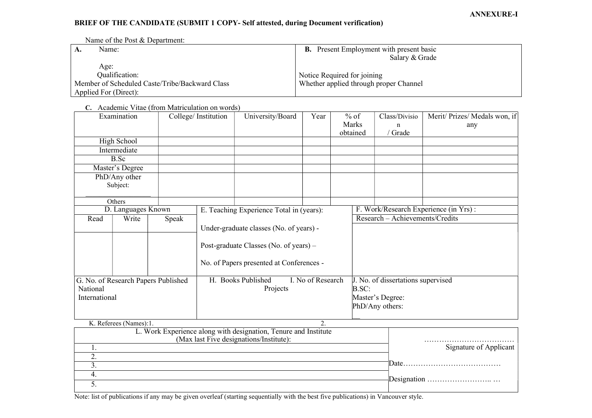## BRIEF OF THE CANDIDATE (SUBMIT 1 COPY- Self attested, during Document verification)

Name of the Post & Department:

| $^{\mathsf{I}}$ A. | Name:                                          | <b>B.</b> Present Employment with present basic |  |  |
|--------------------|------------------------------------------------|-------------------------------------------------|--|--|
|                    |                                                | Salary & Grade                                  |  |  |
|                    | Age:                                           |                                                 |  |  |
|                    | Qualification:                                 | Notice Required for joining                     |  |  |
|                    | Member of Scheduled Caste/Tribe/Backward Class | Whether applied through proper Channel          |  |  |
|                    | Applied For (Direct):                          |                                                 |  |  |

C. Academic Vitae (from Matriculation on words)

|                                     | Examination            |                                          | College/Institution                      | University/Board                                              | Year                                   | $%$ of           | Class/Divisio                   | Merit/ Prizes/ Medals won, if |  |
|-------------------------------------|------------------------|------------------------------------------|------------------------------------------|---------------------------------------------------------------|----------------------------------------|------------------|---------------------------------|-------------------------------|--|
|                                     |                        |                                          |                                          |                                                               |                                        | Marks            | n                               | any                           |  |
|                                     |                        |                                          |                                          |                                                               |                                        | obtained         | / Grade                         |                               |  |
|                                     | High School            |                                          |                                          |                                                               |                                        |                  |                                 |                               |  |
|                                     | Intermediate           |                                          |                                          |                                                               |                                        |                  |                                 |                               |  |
|                                     | B.Sc                   |                                          |                                          |                                                               |                                        |                  |                                 |                               |  |
|                                     | Master's Degree        |                                          |                                          |                                                               |                                        |                  |                                 |                               |  |
|                                     | PhD/Any other          |                                          |                                          |                                                               |                                        |                  |                                 |                               |  |
|                                     | Subject:               |                                          |                                          |                                                               |                                        |                  |                                 |                               |  |
|                                     |                        |                                          |                                          |                                                               |                                        |                  |                                 |                               |  |
|                                     | <b>Others</b>          |                                          |                                          |                                                               |                                        |                  |                                 |                               |  |
| D. Languages Known                  |                        | E. Teaching Experience Total in (years): |                                          |                                                               | F. Work/Research Experience (in Yrs) : |                  |                                 |                               |  |
| Read                                | Write                  | Speak                                    |                                          |                                                               |                                        |                  | Research - Achievements/Credits |                               |  |
|                                     |                        |                                          |                                          | Under-graduate classes (No. of years) -                       |                                        |                  |                                 |                               |  |
|                                     |                        |                                          |                                          |                                                               |                                        |                  |                                 |                               |  |
|                                     |                        |                                          | Post-graduate Classes (No. of years) –   |                                                               |                                        |                  |                                 |                               |  |
|                                     |                        |                                          |                                          |                                                               |                                        |                  |                                 |                               |  |
|                                     |                        |                                          | No. of Papers presented at Conferences - |                                                               |                                        |                  |                                 |                               |  |
|                                     |                        |                                          |                                          |                                                               |                                        |                  |                                 |                               |  |
| G. No. of Research Papers Published |                        | H. Books Published<br>I. No of Research  |                                          |                                                               | J. No. of dissertations supervised     |                  |                                 |                               |  |
| National                            |                        | Projects                                 |                                          |                                                               | B.SC:                                  |                  |                                 |                               |  |
| International                       |                        |                                          |                                          |                                                               |                                        | Master's Degree: |                                 |                               |  |
|                                     |                        |                                          |                                          |                                                               |                                        | PhD/Any others:  |                                 |                               |  |
|                                     |                        |                                          |                                          |                                                               |                                        |                  |                                 |                               |  |
|                                     | K. Referees (Names):1. |                                          |                                          |                                                               | 2.                                     |                  |                                 |                               |  |
|                                     |                        |                                          |                                          | I Work Experience along with designation Tenure and Institute |                                        |                  |                                 |                               |  |

|                        | L. Work Experience along with designation, Tenure and Institute (Max last Five designations/Institute): |  |
|------------------------|---------------------------------------------------------------------------------------------------------|--|
| Signature of Applicant |                                                                                                         |  |
|                        |                                                                                                         |  |
|                        |                                                                                                         |  |
|                        |                                                                                                         |  |
|                        |                                                                                                         |  |
|                        |                                                                                                         |  |

Note: list of publications if any may be given overleaf (starting sequentially with the best five publications) in Vancouver style.